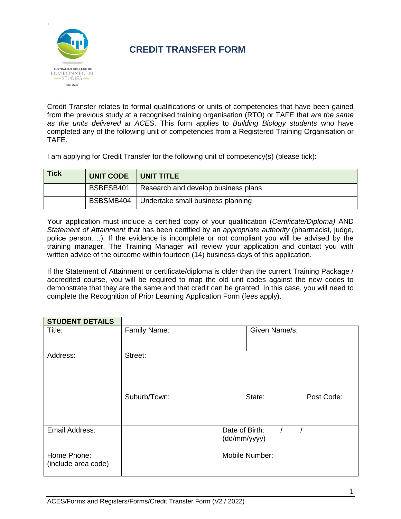

## **CREDIT TRANSFER FORM**

Credit Transfer relates to formal qualifications or units of competencies that have been gained from the previous study at a recognised training organisation (RTO) or TAFE that *are the same as the units delivered at ACES*. This form applies to *Building Biology students* who have completed any of the following unit of competencies from a Registered Training Organisation or TAFE.

I am applying for Credit Transfer for the following unit of competency(s) (please tick):

| <b>Tick</b> | UNIT CODE   UNIT TITLE |                                                 |
|-------------|------------------------|-------------------------------------------------|
|             |                        | BSBESB401   Research and develop business plans |
|             |                        | BSBSMB404   Undertake small business planning   |

Your application must include a certified copy of your qualification (*Certificate/Diploma)* AND *Statement of Attainment* that has been certified by an *appropriate authority* (pharmacist, judge, police person….). If the evidence is incomplete or not compliant you will be advised by the training manager. The Training Manager will review your application and contact you with written advice of the outcome within fourteen (14) business days of this application.

If the Statement of Attainment or certificate/diploma is older than the current Training Package / accredited course, you will be required to map the old unit codes against the new codes to demonstrate that they are the same and that credit can be granted. In this case, you will need to complete the Recognition of Prior Learning Application Form (fees apply).

## **STUDENT DETAILS** Title: Family Name: Family Name: Family Name: Family Name (St. 2014)

| Address:                           | Street:      |                                |            |
|------------------------------------|--------------|--------------------------------|------------|
|                                    | Suburb/Town: | State:                         | Post Code: |
| Email Address:                     |              | Date of Birth:<br>(dd/mm/yyyy) |            |
| Home Phone:<br>(include area code) |              | Mobile Number:                 |            |